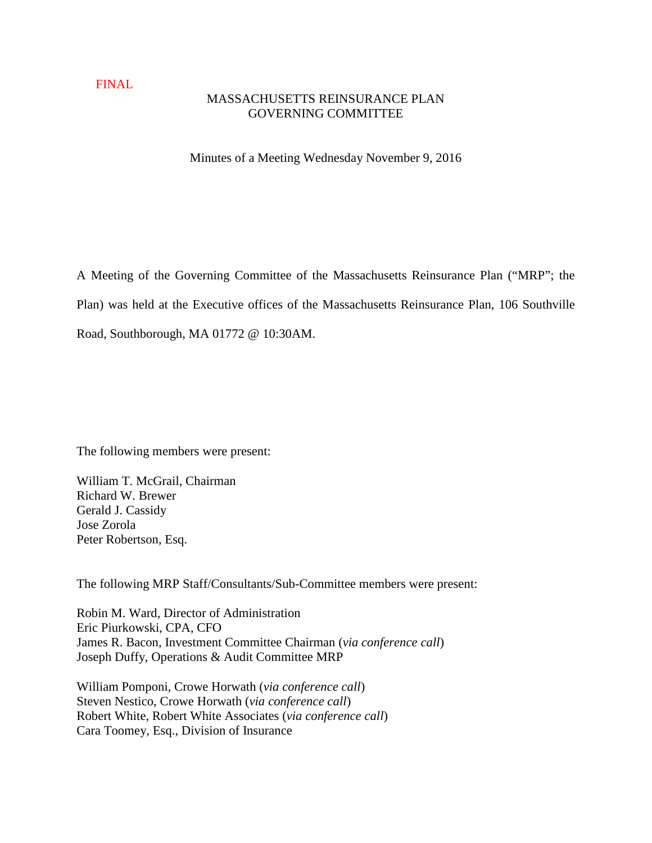### FINAL

## MASSACHUSETTS REINSURANCE PLAN GOVERNING COMMITTEE

Minutes of a Meeting Wednesday November 9, 2016

A Meeting of the Governing Committee of the Massachusetts Reinsurance Plan ("MRP"; the Plan) was held at the Executive offices of the Massachusetts Reinsurance Plan, 106 Southville Road, Southborough, MA 01772 @ 10:30AM.

The following members were present:

William T. McGrail, Chairman Richard W. Brewer Gerald J. Cassidy Jose Zorola Peter Robertson, Esq.

The following MRP Staff/Consultants/Sub-Committee members were present:

Robin M. Ward, Director of Administration Eric Piurkowski, CPA, CFO James R. Bacon, Investment Committee Chairman (*via conference call*) Joseph Duffy, Operations & Audit Committee MRP

William Pomponi, Crowe Horwath (*via conference call*) Steven Nestico, Crowe Horwath (*via conference call*) Robert White, Robert White Associates (*via conference call*) Cara Toomey, Esq., Division of Insurance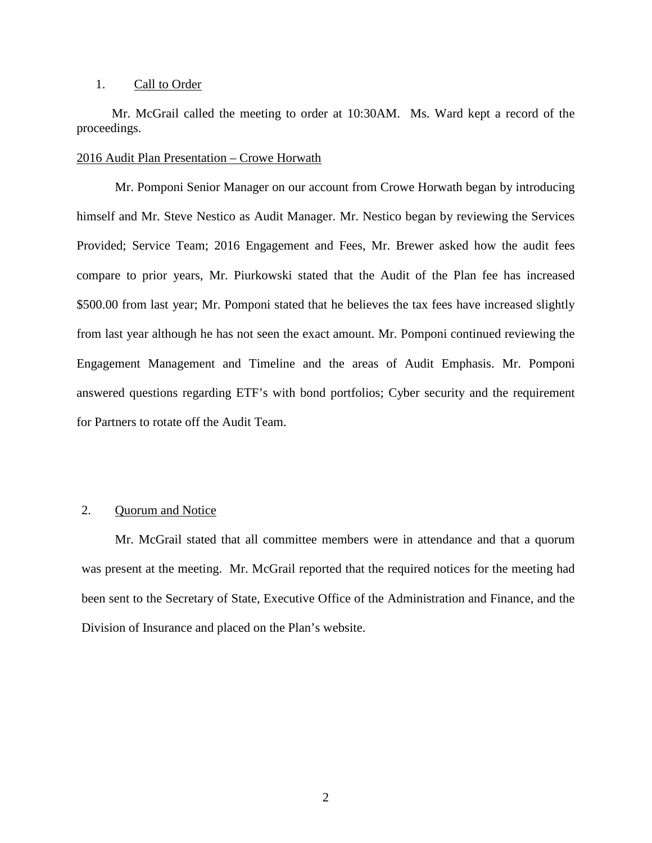#### 1. Call to Order

 Mr. McGrail called the meeting to order at 10:30AM. Ms. Ward kept a record of the proceedings.

#### 2016 Audit Plan Presentation – Crowe Horwath

 Mr. Pomponi Senior Manager on our account from Crowe Horwath began by introducing himself and Mr. Steve Nestico as Audit Manager. Mr. Nestico began by reviewing the Services Provided; Service Team; 2016 Engagement and Fees, Mr. Brewer asked how the audit fees compare to prior years, Mr. Piurkowski stated that the Audit of the Plan fee has increased \$500.00 from last year; Mr. Pomponi stated that he believes the tax fees have increased slightly from last year although he has not seen the exact amount. Mr. Pomponi continued reviewing the Engagement Management and Timeline and the areas of Audit Emphasis. Mr. Pomponi answered questions regarding ETF's with bond portfolios; Cyber security and the requirement for Partners to rotate off the Audit Team.

## 2. Quorum and Notice

 Mr. McGrail stated that all committee members were in attendance and that a quorum was present at the meeting. Mr. McGrail reported that the required notices for the meeting had been sent to the Secretary of State, Executive Office of the Administration and Finance, and the Division of Insurance and placed on the Plan's website.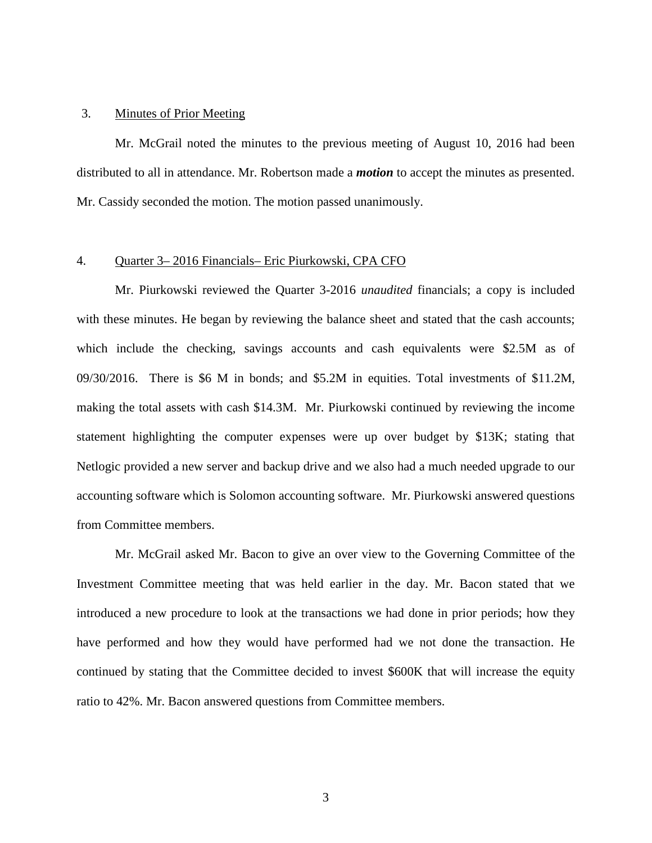### 3. Minutes of Prior Meeting

 Mr. McGrail noted the minutes to the previous meeting of August 10, 2016 had been distributed to all in attendance. Mr. Robertson made a *motion* to accept the minutes as presented. Mr. Cassidy seconded the motion. The motion passed unanimously.

#### 4. Quarter 3– 2016 Financials– Eric Piurkowski, CPA CFO

 Mr. Piurkowski reviewed the Quarter 3-2016 *unaudited* financials; a copy is included with these minutes. He began by reviewing the balance sheet and stated that the cash accounts; which include the checking, savings accounts and cash equivalents were \$2.5M as of 09/30/2016. There is \$6 M in bonds; and \$5.2M in equities. Total investments of \$11.2M, making the total assets with cash \$14.3M. Mr. Piurkowski continued by reviewing the income statement highlighting the computer expenses were up over budget by \$13K; stating that Netlogic provided a new server and backup drive and we also had a much needed upgrade to our accounting software which is Solomon accounting software. Mr. Piurkowski answered questions from Committee members.

 Mr. McGrail asked Mr. Bacon to give an over view to the Governing Committee of the Investment Committee meeting that was held earlier in the day. Mr. Bacon stated that we introduced a new procedure to look at the transactions we had done in prior periods; how they have performed and how they would have performed had we not done the transaction. He continued by stating that the Committee decided to invest \$600K that will increase the equity ratio to 42%. Mr. Bacon answered questions from Committee members.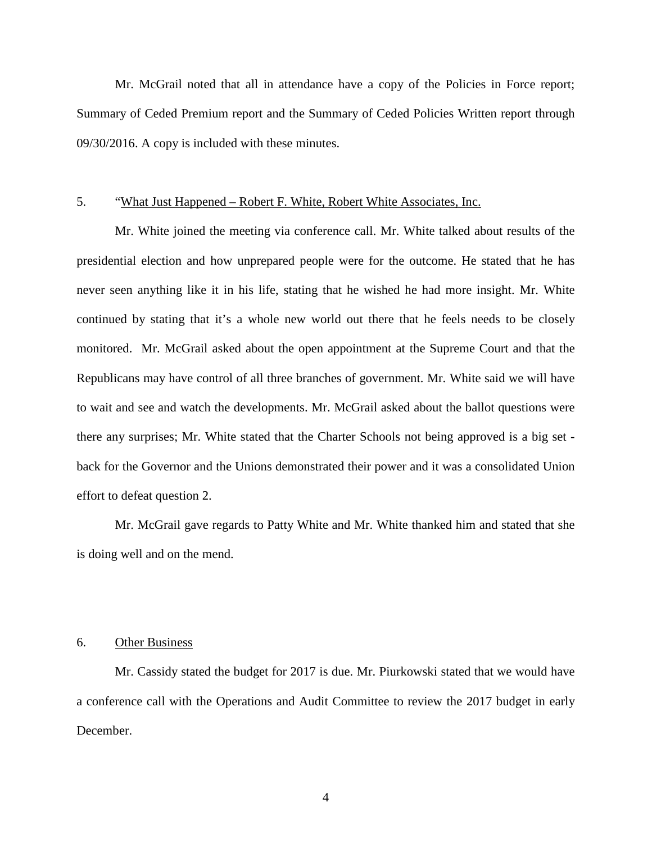Mr. McGrail noted that all in attendance have a copy of the Policies in Force report; Summary of Ceded Premium report and the Summary of Ceded Policies Written report through 09/30/2016. A copy is included with these minutes.

## 5. "What Just Happened – Robert F. White, Robert White Associates, Inc.

 Mr. White joined the meeting via conference call. Mr. White talked about results of the presidential election and how unprepared people were for the outcome. He stated that he has never seen anything like it in his life, stating that he wished he had more insight. Mr. White continued by stating that it's a whole new world out there that he feels needs to be closely monitored. Mr. McGrail asked about the open appointment at the Supreme Court and that the Republicans may have control of all three branches of government. Mr. White said we will have to wait and see and watch the developments. Mr. McGrail asked about the ballot questions were there any surprises; Mr. White stated that the Charter Schools not being approved is a big set back for the Governor and the Unions demonstrated their power and it was a consolidated Union effort to defeat question 2.

 Mr. McGrail gave regards to Patty White and Mr. White thanked him and stated that she is doing well and on the mend.

### 6. Other Business

 Mr. Cassidy stated the budget for 2017 is due. Mr. Piurkowski stated that we would have a conference call with the Operations and Audit Committee to review the 2017 budget in early December.